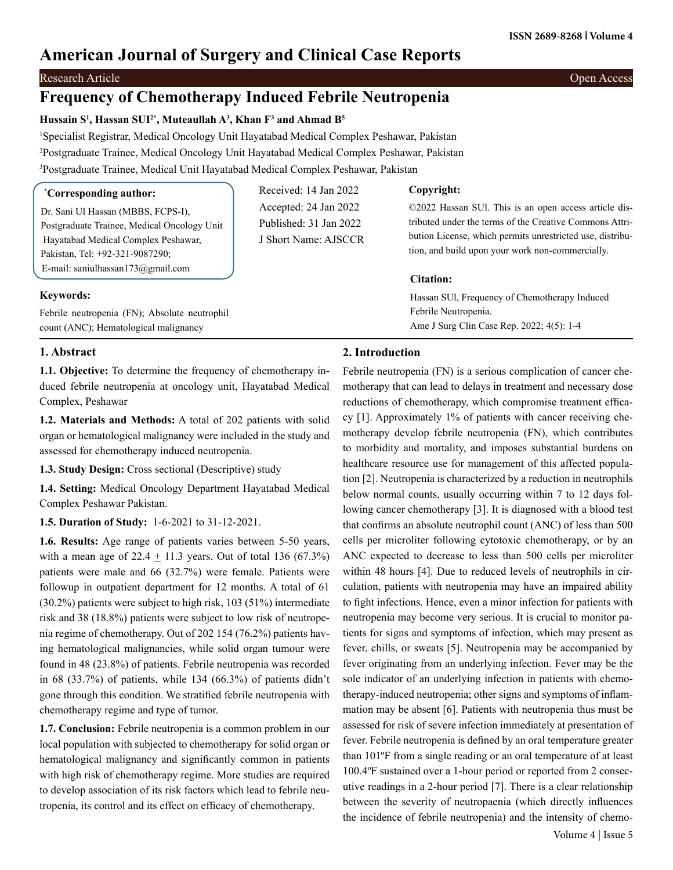# **American Journal of Surgery and Clinical Case Reports**

# Research Article Open Access

# **Frequency of Chemotherapy Induced Febrile Neutropenia**

## **Hussain S1 , Hassan SUI2\*, Muteaullah A3 , Khan F3 and Ahmad B5**

1 Specialist Registrar, Medical Oncology Unit Hayatabad Medical Complex Peshawar, Pakistan 2 Postgraduate Trainee, Medical Oncology Unit Hayatabad Medical Complex Peshawar, Pakistan 3 Postgraduate Trainee, Medical Unit Hayatabad Medical Complex Peshawar, Pakistan

| <i>*Corresponding author:</i>                                                                                                                               | Received: 14 Jan 2022                                                   | Copyright:                                                                                                                                                                                                                        |
|-------------------------------------------------------------------------------------------------------------------------------------------------------------|-------------------------------------------------------------------------|-----------------------------------------------------------------------------------------------------------------------------------------------------------------------------------------------------------------------------------|
| Dr. Sani Ul Hassan (MBBS, FCPS-I),<br>Postgraduate Trainee, Medical Oncology Unit<br>Hayatabad Medical Complex Peshawar,<br>Pakistan, Tel: +92-321-9087290; | Accepted: 24 Jan 2022<br>Published: 31 Jan 2022<br>J Short Name: AJSCCR | ©2022 Hassan SUI. This is an open access article dis-<br>tributed under the terms of the Creative Commons Attri-<br>bution License, which permits unrestricted use, distribu-<br>tion, and build upon your work non-commercially. |
| E-mail: saniulhassan173@gmail.com                                                                                                                           |                                                                         | Citation:                                                                                                                                                                                                                         |
| <b>Keywords:</b><br>Febrile neutropenia (FN); Absolute neutrophil                                                                                           |                                                                         | Hassan SUI, Frequency of Chemotherapy Induced<br>Febrile Neutropenia.                                                                                                                                                             |

count (ANC); Hematological malignancy

## **1. Abstract**

**1.1. Objective:** To determine the frequency of chemotherapy induced febrile neutropenia at oncology unit, Hayatabad Medical Complex, Peshawar

**1.2. Materials and Methods:** A total of 202 patients with solid organ or hematological malignancy were included in the study and assessed for chemotherapy induced neutropenia.

**1.3. Study Design:** Cross sectional (Descriptive) study

**1.4. Setting:** Medical Oncology Department Hayatabad Medical Complex Peshawar Pakistan.

**1.5. Duration of Study:** 1-6-2021 to 31-12-2021.

**1.6. Results:** Age range of patients varies between 5-50 years, with a mean age of  $22.4 \pm 11.3$  years. Out of total 136 (67.3%) patients were male and 66 (32.7%) were female. Patients were followup in outpatient department for 12 months. A total of 61 (30.2%) patients were subject to high risk, 103 (51%) intermediate risk and 38 (18.8%) patients were subject to low risk of neutropenia regime of chemotherapy. Out of 202 154 (76.2%) patients having hematological malignancies, while solid organ tumour were found in 48 (23.8%) of patients. Febrile neutropenia was recorded in 68 (33.7%) of patients, while 134 (66.3%) of patients didn't gone through this condition. We stratified febrile neutropenia with chemotherapy regime and type of tumor.

**1.7. Conclusion:** Febrile neutropenia is a common problem in our local population with subjected to chemotherapy for solid organ or hematological malignancy and significantly common in patients with high risk of chemotherapy regime. More studies are required to develop association of its risk factors which lead to febrile neutropenia, its control and its effect on efficacy of chemotherapy.

# **2. Introduction**

Febrile neutropenia (FN) is a serious complication of cancer chemotherapy that can lead to delays in treatment and necessary dose reductions of chemotherapy, which compromise treatment efficacy [1]. Approximately 1% of patients with cancer receiving chemotherapy develop febrile neutropenia (FN), which contributes to morbidity and mortality, and imposes substantial burdens on healthcare resource use for management of this affected population [2]. Neutropenia is characterized by a reduction in neutrophils below normal counts, usually occurring within 7 to 12 days following cancer chemotherapy [3]. It is diagnosed with a blood test that confirms an absolute neutrophil count (ANC) of less than 500 cells per microliter following cytotoxic chemotherapy, or by an ANC expected to decrease to less than 500 cells per microliter within 48 hours [4]. Due to reduced levels of neutrophils in circulation, patients with neutropenia may have an impaired ability to fight infections. Hence, even a minor infection for patients with neutropenia may become very serious. It is crucial to monitor patients for signs and symptoms of infection, which may present as fever, chills, or sweats [5]. Neutropenia may be accompanied by fever originating from an underlying infection. Fever may be the sole indicator of an underlying infection in patients with chemotherapy-induced neutropenia; other signs and symptoms of inflammation may be absent [6]. Patients with neutropenia thus must be assessed for risk of severe infection immediately at presentation of fever. Febrile neutropenia is defined by an oral temperature greater than 101ºF from a single reading or an oral temperature of at least 100.4ºF sustained over a 1-hour period or reported from 2 consecutive readings in a 2-hour period [7]. There is a clear relationship between the severity of neutropaenia (which directly influences the incidence of febrile neutropenia) and the intensity of chemo-

Ame J Surg Clin Case Rep. 2022; 4(5): 1-4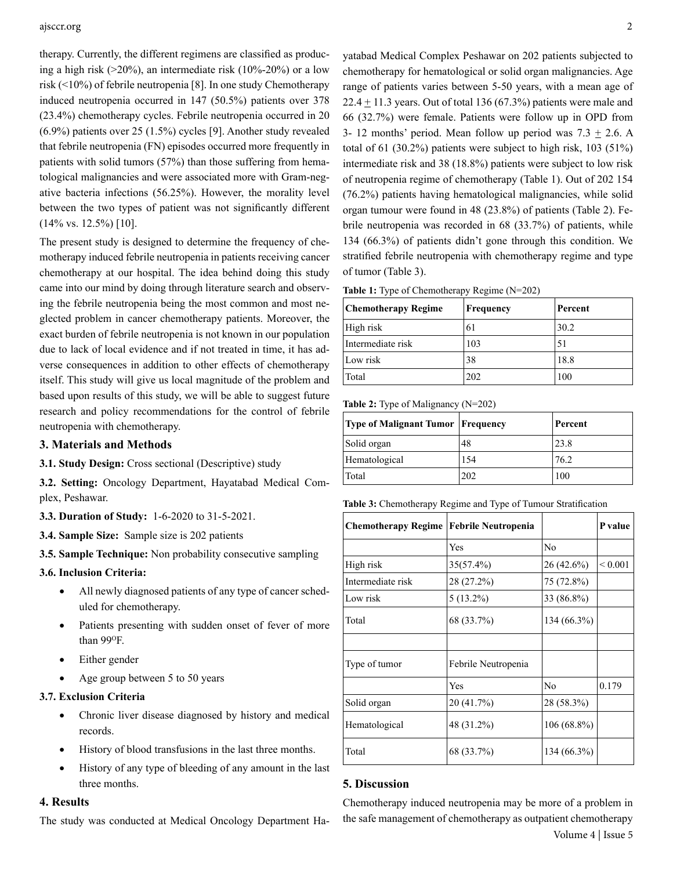#### ajsccr.org 2

therapy. Currently, the different regimens are classified as producing a high risk  $(20\%)$ , an intermediate risk  $(10\% - 20\%)$  or a low risk (<10%) of febrile neutropenia [8]. In one study Chemotherapy induced neutropenia occurred in 147 (50.5%) patients over 378 (23.4%) chemotherapy cycles. Febrile neutropenia occurred in 20 (6.9%) patients over 25 (1.5%) cycles [9]. Another study revealed that febrile neutropenia (FN) episodes occurred more frequently in patients with solid tumors (57%) than those suffering from hematological malignancies and were associated more with Gram-negative bacteria infections (56.25%). However, the morality level between the two types of patient was not significantly different (14% vs. 12.5%) [10].

The present study is designed to determine the frequency of chemotherapy induced febrile neutropenia in patients receiving cancer chemotherapy at our hospital. The idea behind doing this study came into our mind by doing through literature search and observing the febrile neutropenia being the most common and most neglected problem in cancer chemotherapy patients. Moreover, the exact burden of febrile neutropenia is not known in our population due to lack of local evidence and if not treated in time, it has adverse consequences in addition to other effects of chemotherapy itself. This study will give us local magnitude of the problem and based upon results of this study, we will be able to suggest future research and policy recommendations for the control of febrile neutropenia with chemotherapy.

#### **3. Materials and Methods**

**3.1. Study Design:** Cross sectional (Descriptive) study

**3.2. Setting:** Oncology Department, Hayatabad Medical Complex, Peshawar.

- **3.3. Duration of Study:** 1-6-2020 to 31-5-2021.
- **3.4. Sample Size:** Sample size is 202 patients
- **3.5. Sample Technique:** Non probability consecutive sampling
- **3.6. Inclusion Criteria:** 
	- All newly diagnosed patients of any type of cancer scheduled for chemotherapy.
	- Patients presenting with sudden onset of fever of more than 99°F.
	- Either gender
	- Age group between 5 to 50 years

# **3.7. Exclusion Criteria**

- Chronic liver disease diagnosed by history and medical records.
- History of blood transfusions in the last three months.
- History of any type of bleeding of any amount in the last three months.

#### **4. Results**

The study was conducted at Medical Oncology Department Ha-

yatabad Medical Complex Peshawar on 202 patients subjected to chemotherapy for hematological or solid organ malignancies. Age range of patients varies between 5-50 years, with a mean age of  $22.4 \pm 11.3$  years. Out of total 136 (67.3%) patients were male and 66 (32.7%) were female. Patients were follow up in OPD from 3- 12 months' period. Mean follow up period was  $7.3 \pm 2.6$ . A total of 61 (30.2%) patients were subject to high risk, 103 (51%) intermediate risk and 38 (18.8%) patients were subject to low risk of neutropenia regime of chemotherapy (Table 1). Out of 202 154 (76.2%) patients having hematological malignancies, while solid organ tumour were found in 48 (23.8%) of patients (Table 2). Febrile neutropenia was recorded in 68 (33.7%) of patients, while 134 (66.3%) of patients didn't gone through this condition. We stratified febrile neutropenia with chemotherapy regime and type of tumor (Table 3).

|  |  | Table 1: Type of Chemotherapy Regime (N=202) |  |  |
|--|--|----------------------------------------------|--|--|
|--|--|----------------------------------------------|--|--|

| <b>Chemotherapy Regime</b> | <b>Frequency</b> | Percent |
|----------------------------|------------------|---------|
| High risk                  | 61               | 30.2    |
| Intermediate risk          | 103              | 51      |
| Low risk                   | 38               | 18.8    |
| Total                      | 202              | 100     |

#### **Table 2:** Type of Malignancy (N=202)

| Type of Malignant Tumor   Frequency |     | Percent |
|-------------------------------------|-----|---------|
| Solid organ                         | 48  | 23.8    |
| Hematological                       | 154 | 76.2    |
| Total                               | 202 | 100     |

**Table 3:** Chemotherapy Regime and Type of Tumour Stratification

| <b>Chemotherapy Regime</b> | Febrile Neutropenia |               | P value      |
|----------------------------|---------------------|---------------|--------------|
|                            | Yes                 | No            |              |
| High risk                  | $35(57.4\%)$        | $26(42.6\%)$  | ${}_{0.001}$ |
| Intermediate risk          | 28 (27.2%)          | 75 (72.8%)    |              |
| Low risk                   | $5(13.2\%)$         | 33 (86.8%)    |              |
| Total                      | 68 (33.7%)          | $134(66.3\%)$ |              |
|                            |                     |               |              |
| Type of tumor              | Febrile Neutropenia |               |              |
|                            | Yes                 | No            | 0.179        |
| Solid organ                | 20 (41.7%)          | 28 (58.3%)    |              |
| Hematological              | 48 (31.2%)          | $106(68.8\%)$ |              |
| Total                      | 68 (33.7%)          | $134(66.3\%)$ |              |

# **5. Discussion**

 Volume 4 | Issue 5 Chemotherapy induced neutropenia may be more of a problem in the safe management of chemotherapy as outpatient chemotherapy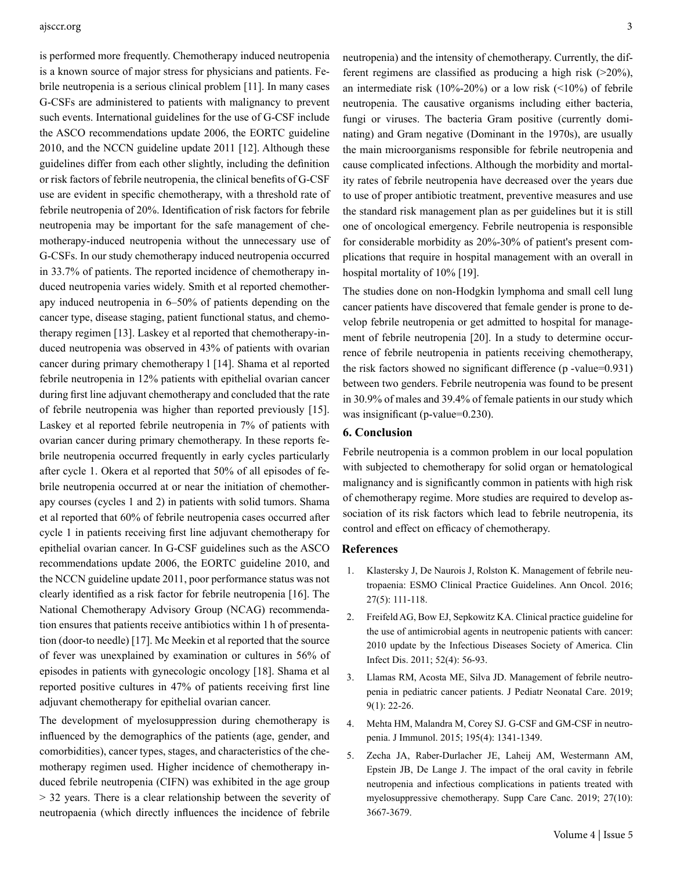#### ajsccr.org 3

is performed more frequently. Chemotherapy induced neutropenia is a known source of major stress for physicians and patients. Febrile neutropenia is a serious clinical problem [11]. In many cases G-CSFs are administered to patients with malignancy to prevent such events. International guidelines for the use of G-CSF include the ASCO recommendations update 2006, the EORTC guideline 2010, and the NCCN guideline update 2011 [12]. Although these guidelines differ from each other slightly, including the definition or risk factors of febrile neutropenia, the clinical benefits of G-CSF use are evident in specific chemotherapy, with a threshold rate of febrile neutropenia of 20%. Identification of risk factors for febrile neutropenia may be important for the safe management of chemotherapy-induced neutropenia without the unnecessary use of G-CSFs. In our study chemotherapy induced neutropenia occurred in 33.7% of patients. The reported incidence of chemotherapy induced neutropenia varies widely. Smith et al reported chemotherapy induced neutropenia in 6–50% of patients depending on the cancer type, disease staging, patient functional status, and chemotherapy regimen [13]. Laskey et al reported that chemotherapy-induced neutropenia was observed in 43% of patients with ovarian cancer during primary chemotherapy l [14]. Shama et al reported febrile neutropenia in 12% patients with epithelial ovarian cancer during first line adjuvant chemotherapy and concluded that the rate of febrile neutropenia was higher than reported previously [15]. Laskey et al reported febrile neutropenia in 7% of patients with ovarian cancer during primary chemotherapy. In these reports febrile neutropenia occurred frequently in early cycles particularly after cycle 1. Okera et al reported that 50% of all episodes of febrile neutropenia occurred at or near the initiation of chemotherapy courses (cycles 1 and 2) in patients with solid tumors. Shama et al reported that 60% of febrile neutropenia cases occurred after cycle 1 in patients receiving first line adjuvant chemotherapy for epithelial ovarian cancer. In G-CSF guidelines such as the ASCO recommendations update 2006, the EORTC guideline 2010, and the NCCN guideline update 2011, poor performance status was not clearly identified as a risk factor for febrile neutropenia [16]. The National Chemotherapy Advisory Group (NCAG) recommendation ensures that patients receive antibiotics within 1 h of presentation (door-to needle) [17]. Mc Meekin et al reported that the source of fever was unexplained by examination or cultures in 56% of episodes in patients with gynecologic oncology [18]. Shama et al reported positive cultures in 47% of patients receiving first line adjuvant chemotherapy for epithelial ovarian cancer.

The development of myelosuppression during chemotherapy is influenced by the demographics of the patients (age, gender, and comorbidities), cancer types, stages, and characteristics of the chemotherapy regimen used. Higher incidence of chemotherapy induced febrile neutropenia (CIFN) was exhibited in the age group > 32 years. There is a clear relationship between the severity of neutropaenia (which directly influences the incidence of febrile neutropenia) and the intensity of chemotherapy. Currently, the different regimens are classified as producing a high risk (>20%), an intermediate risk  $(10\% - 20\%)$  or a low risk  $(\leq 10\%)$  of febrile neutropenia. The causative organisms including either bacteria, fungi or viruses. The bacteria Gram positive (currently dominating) and Gram negative (Dominant in the 1970s), are usually the main microorganisms responsible for febrile neutropenia and cause complicated infections. Although the morbidity and mortality rates of febrile neutropenia have decreased over the years due to use of proper antibiotic treatment, preventive measures and use the standard risk management plan as per guidelines but it is still one of oncological emergency. Febrile neutropenia is responsible for considerable morbidity as 20%-30% of patient's present complications that require in hospital management with an overall in hospital mortality of 10% [19].

The studies done on non-Hodgkin lymphoma and small cell lung cancer patients have discovered that female gender is prone to develop febrile neutropenia or get admitted to hospital for management of febrile neutropenia [20]. In a study to determine occurrence of febrile neutropenia in patients receiving chemotherapy, the risk factors showed no significant difference (p -value=0.931) between two genders. Febrile neutropenia was found to be present in 30.9% of males and 39.4% of female patients in our study which was insignificant (p-value=0.230).

### **6. Conclusion**

Febrile neutropenia is a common problem in our local population with subjected to chemotherapy for solid organ or hematological malignancy and is significantly common in patients with high risk of chemotherapy regime. More studies are required to develop association of its risk factors which lead to febrile neutropenia, its control and effect on efficacy of chemotherapy.

# **References**

- 1. [Klastersky J, De Naurois J, Rolston K. Management of febrile neu](https://pubmed.ncbi.nlm.nih.gov/27664247/)[tropaenia: ESMO Clinical Practice Guidelines. Ann Oncol. 2016;](https://pubmed.ncbi.nlm.nih.gov/27664247/)  [27\(5\): 111-118.](https://pubmed.ncbi.nlm.nih.gov/27664247/)
- 2. [Freifeld AG, Bow EJ, Sepkowitz KA. Clinical practice guideline for](https://pubmed.ncbi.nlm.nih.gov/21258094/)  [the use of antimicrobial agents in neutropenic patients with cancer:](https://pubmed.ncbi.nlm.nih.gov/21258094/) [2010 update by the Infectious Diseases Society of America. Clin](https://pubmed.ncbi.nlm.nih.gov/21258094/) [Infect Dis. 2011; 52\(4\): 56-93.](https://pubmed.ncbi.nlm.nih.gov/21258094/)
- 3. Llamas RM, Acosta ME, Silva JD. Management of febrile neutropenia in pediatric cancer patients. J Pediatr Neonatal Care. 2019; 9(1): 22-26.
- 4. [Mehta HM, Malandra M, Corey SJ. G-CSF and GM-CSF in neutro](https://pubmed.ncbi.nlm.nih.gov/26254266/)[penia. J Immunol. 2015; 195\(4\): 1341-1349.](https://pubmed.ncbi.nlm.nih.gov/26254266/)
- 5. [Zecha JA, Raber-Durlacher JE, Laheij AM, Westermann AM,](https://pubmed.ncbi.nlm.nih.gov/31222393/)  [Epstein JB, De Lange J. The impact of the oral cavity in febrile](https://pubmed.ncbi.nlm.nih.gov/31222393/) [neutropenia and infectious complications in patients treated with](https://pubmed.ncbi.nlm.nih.gov/31222393/) [myelosuppressive chemotherapy. Supp Care Canc. 2019; 27\(10\):](https://pubmed.ncbi.nlm.nih.gov/31222393/) [3667-3679.](https://pubmed.ncbi.nlm.nih.gov/31222393/)